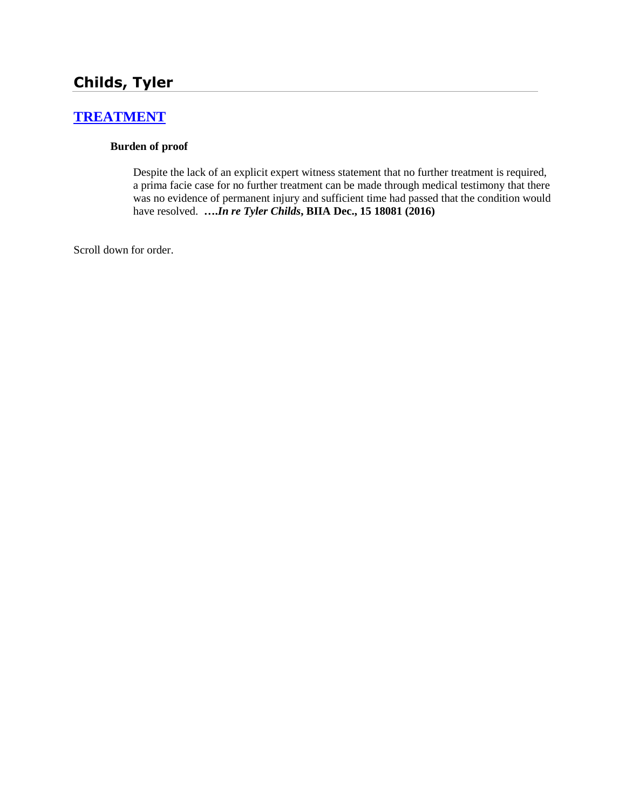# **Childs, Tyler**

# **[TREATMENT](http://www.biia.wa.gov/SDSubjectIndex.html#TREATMENT)**

#### **Burden of proof**

Despite the lack of an explicit expert witness statement that no further treatment is required, a prima facie case for no further treatment can be made through medical testimony that there was no evidence of permanent injury and sufficient time had passed that the condition would have resolved. **….***In re Tyler Childs***, BIIA Dec., 15 18081 (2016)**

Scroll down for order.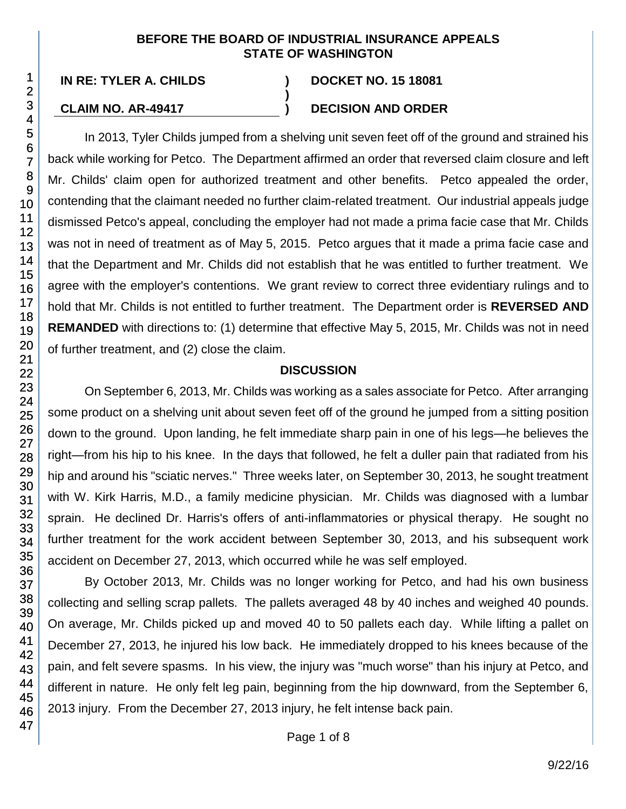#### **BEFORE THE BOARD OF INDUSTRIAL INSURANCE APPEALS STATE OF WASHINGTON**

**)**

**IN RE: TYLER A. CHILDS ) DOCKET NO. 15 18081**

#### **CLAIM NO. AR-49417 ) DECISION AND ORDER**

In 2013, Tyler Childs jumped from a shelving unit seven feet off of the ground and strained his back while working for Petco. The Department affirmed an order that reversed claim closure and left Mr. Childs' claim open for authorized treatment and other benefits. Petco appealed the order, contending that the claimant needed no further claim-related treatment. Our industrial appeals judge dismissed Petco's appeal, concluding the employer had not made a prima facie case that Mr. Childs was not in need of treatment as of May 5, 2015. Petco argues that it made a prima facie case and that the Department and Mr. Childs did not establish that he was entitled to further treatment. We agree with the employer's contentions. We grant review to correct three evidentiary rulings and to hold that Mr. Childs is not entitled to further treatment. The Department order is **REVERSED AND REMANDED** with directions to: (1) determine that effective May 5, 2015, Mr. Childs was not in need of further treatment, and (2) close the claim.

#### **DISCUSSION**

On September 6, 2013, Mr. Childs was working as a sales associate for Petco. After arranging some product on a shelving unit about seven feet off of the ground he jumped from a sitting position down to the ground. Upon landing, he felt immediate sharp pain in one of his legs—he believes the right—from his hip to his knee. In the days that followed, he felt a duller pain that radiated from his hip and around his "sciatic nerves." Three weeks later, on September 30, 2013, he sought treatment with W. Kirk Harris, M.D., a family medicine physician. Mr. Childs was diagnosed with a lumbar sprain. He declined Dr. Harris's offers of anti-inflammatories or physical therapy. He sought no further treatment for the work accident between September 30, 2013, and his subsequent work accident on December 27, 2013, which occurred while he was self employed.

By October 2013, Mr. Childs was no longer working for Petco, and had his own business collecting and selling scrap pallets. The pallets averaged 48 by 40 inches and weighed 40 pounds. On average, Mr. Childs picked up and moved 40 to 50 pallets each day. While lifting a pallet on December 27, 2013, he injured his low back. He immediately dropped to his knees because of the pain, and felt severe spasms. In his view, the injury was "much worse" than his injury at Petco, and different in nature. He only felt leg pain, beginning from the hip downward, from the September 6, 2013 injury. From the December 27, 2013 injury, he felt intense back pain.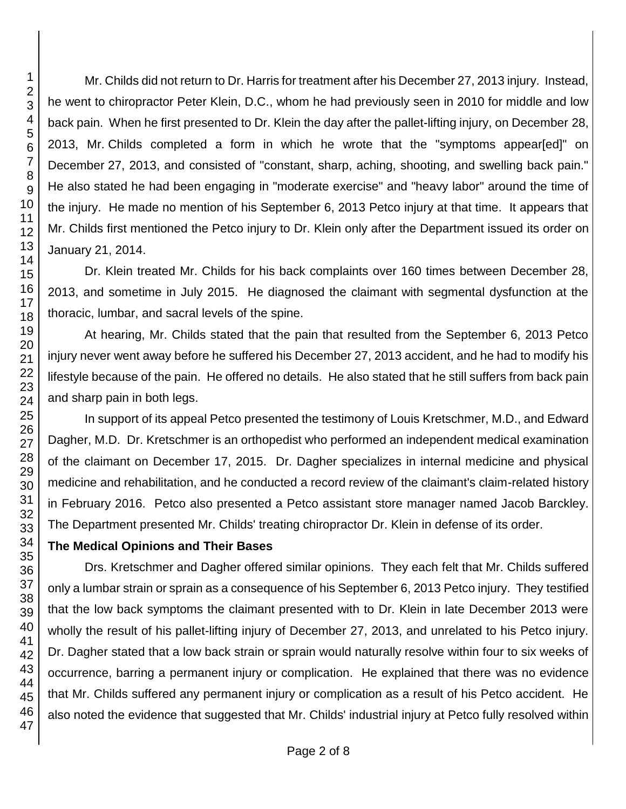Mr. Childs did not return to Dr. Harris for treatment after his December 27, 2013 injury. Instead, he went to chiropractor Peter Klein, D.C., whom he had previously seen in 2010 for middle and low back pain. When he first presented to Dr. Klein the day after the pallet-lifting injury, on December 28, 2013, Mr. Childs completed a form in which he wrote that the "symptoms appear[ed]" on December 27, 2013, and consisted of "constant, sharp, aching, shooting, and swelling back pain." He also stated he had been engaging in "moderate exercise" and "heavy labor" around the time of the injury. He made no mention of his September 6, 2013 Petco injury at that time. It appears that Mr. Childs first mentioned the Petco injury to Dr. Klein only after the Department issued its order on January 21, 2014.

Dr. Klein treated Mr. Childs for his back complaints over 160 times between December 28, 2013, and sometime in July 2015. He diagnosed the claimant with segmental dysfunction at the thoracic, lumbar, and sacral levels of the spine.

At hearing, Mr. Childs stated that the pain that resulted from the September 6, 2013 Petco injury never went away before he suffered his December 27, 2013 accident, and he had to modify his lifestyle because of the pain. He offered no details. He also stated that he still suffers from back pain and sharp pain in both legs.

In support of its appeal Petco presented the testimony of Louis Kretschmer, M.D., and Edward Dagher, M.D. Dr. Kretschmer is an orthopedist who performed an independent medical examination of the claimant on December 17, 2015. Dr. Dagher specializes in internal medicine and physical medicine and rehabilitation, and he conducted a record review of the claimant's claim-related history in February 2016. Petco also presented a Petco assistant store manager named Jacob Barckley. The Department presented Mr. Childs' treating chiropractor Dr. Klein in defense of its order.

# **The Medical Opinions and Their Bases**

Drs. Kretschmer and Dagher offered similar opinions. They each felt that Mr. Childs suffered only a lumbar strain or sprain as a consequence of his September 6, 2013 Petco injury. They testified that the low back symptoms the claimant presented with to Dr. Klein in late December 2013 were wholly the result of his pallet-lifting injury of December 27, 2013, and unrelated to his Petco injury. Dr. Dagher stated that a low back strain or sprain would naturally resolve within four to six weeks of occurrence, barring a permanent injury or complication. He explained that there was no evidence that Mr. Childs suffered any permanent injury or complication as a result of his Petco accident. He also noted the evidence that suggested that Mr. Childs' industrial injury at Petco fully resolved within

1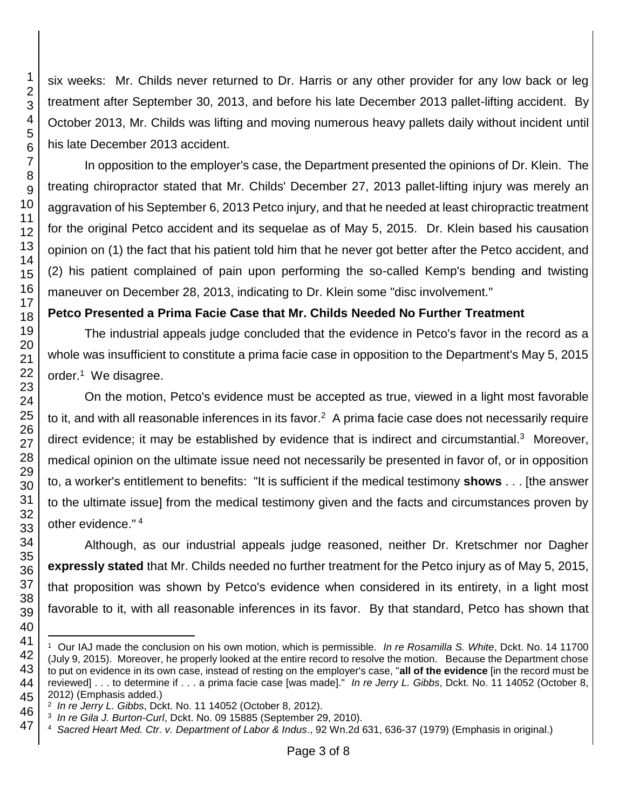six weeks: Mr. Childs never returned to Dr. Harris or any other provider for any low back or leg treatment after September 30, 2013, and before his late December 2013 pallet-lifting accident. By October 2013, Mr. Childs was lifting and moving numerous heavy pallets daily without incident until his late December 2013 accident.

In opposition to the employer's case, the Department presented the opinions of Dr. Klein. The treating chiropractor stated that Mr. Childs' December 27, 2013 pallet-lifting injury was merely an aggravation of his September 6, 2013 Petco injury, and that he needed at least chiropractic treatment for the original Petco accident and its sequelae as of May 5, 2015. Dr. Klein based his causation opinion on (1) the fact that his patient told him that he never got better after the Petco accident, and (2) his patient complained of pain upon performing the so-called Kemp's bending and twisting maneuver on December 28, 2013, indicating to Dr. Klein some "disc involvement."

# **Petco Presented a Prima Facie Case that Mr. Childs Needed No Further Treatment**

The industrial appeals judge concluded that the evidence in Petco's favor in the record as a whole was insufficient to constitute a prima facie case in opposition to the Department's May 5, 2015 order.<sup>1</sup> We disagree.

On the motion, Petco's evidence must be accepted as true, viewed in a light most favorable to it, and with all reasonable inferences in its favor.<sup>2</sup> A prima facie case does not necessarily require direct evidence; it may be established by evidence that is indirect and circumstantial.<sup>3</sup> Moreover, medical opinion on the ultimate issue need not necessarily be presented in favor of, or in opposition to, a worker's entitlement to benefits: "It is sufficient if the medical testimony **shows** . . . [the answer to the ultimate issue] from the medical testimony given and the facts and circumstances proven by other evidence." <sup>4</sup>

Although, as our industrial appeals judge reasoned, neither Dr. Kretschmer nor Dagher **expressly stated** that Mr. Childs needed no further treatment for the Petco injury as of May 5, 2015, that proposition was shown by Petco's evidence when considered in its entirety, in a light most favorable to it, with all reasonable inferences in its favor. By that standard, Petco has shown that

l

 Our IAJ made the conclusion on his own motion, which is permissible. *In re Rosamilla S. White*, Dckt. No. 14 11700 (July 9, 2015). Moreover, he properly looked at the entire record to resolve the motion. Because the Department chose to put on evidence in its own case, instead of resting on the employer's case, "**all of the evidence** [in the record must be reviewed] . . . to determine if . . . a prima facie case [was made]." *In re Jerry L. Gibbs*, Dckt. No. 11 14052 (October 8, 2012) (Emphasis added.)

*In re Jerry L. Gibbs*, Dckt. No. 11 14052 (October 8, 2012).

*In re Gila J. Burton-Curl*, Dckt. No. 09 15885 (September 29, 2010).

*Sacred Heart Med. Ctr. v. Department of Labor & Indus*., 92 Wn.2d 631, 636-37 (1979) (Emphasis in original.)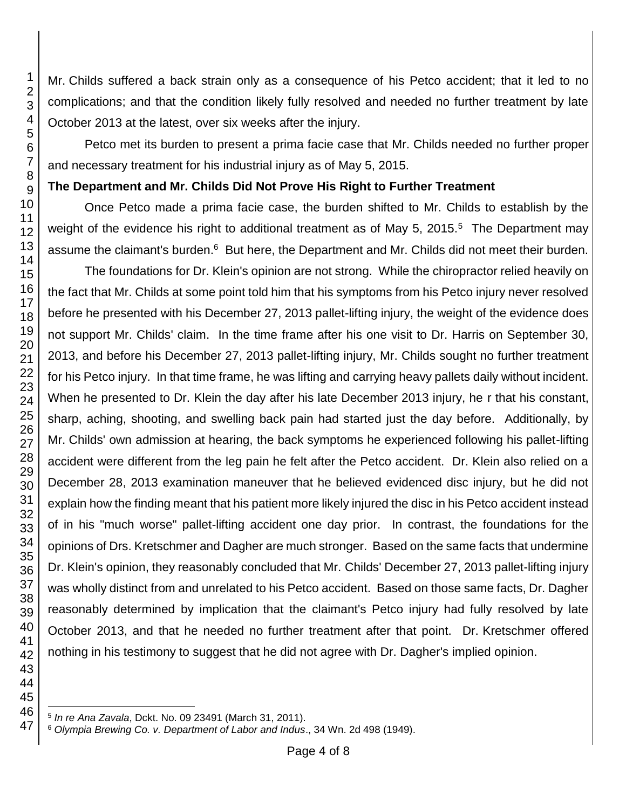Mr. Childs suffered a back strain only as a consequence of his Petco accident; that it led to no complications; and that the condition likely fully resolved and needed no further treatment by late October 2013 at the latest, over six weeks after the injury.

Petco met its burden to present a prima facie case that Mr. Childs needed no further proper and necessary treatment for his industrial injury as of May 5, 2015.

#### **The Department and Mr. Childs Did Not Prove His Right to Further Treatment**

Once Petco made a prima facie case, the burden shifted to Mr. Childs to establish by the weight of the evidence his right to additional treatment as of May 5, 2015. $5$  The Department may assume the claimant's burden.<sup>6</sup> But here, the Department and Mr. Childs did not meet their burden.

The foundations for Dr. Klein's opinion are not strong. While the chiropractor relied heavily on the fact that Mr. Childs at some point told him that his symptoms from his Petco injury never resolved before he presented with his December 27, 2013 pallet-lifting injury, the weight of the evidence does not support Mr. Childs' claim. In the time frame after his one visit to Dr. Harris on September 30, 2013, and before his December 27, 2013 pallet-lifting injury, Mr. Childs sought no further treatment for his Petco injury. In that time frame, he was lifting and carrying heavy pallets daily without incident. When he presented to Dr. Klein the day after his late December 2013 injury, he r that his constant, sharp, aching, shooting, and swelling back pain had started just the day before. Additionally, by Mr. Childs' own admission at hearing, the back symptoms he experienced following his pallet-lifting accident were different from the leg pain he felt after the Petco accident. Dr. Klein also relied on a December 28, 2013 examination maneuver that he believed evidenced disc injury, but he did not explain how the finding meant that his patient more likely injured the disc in his Petco accident instead of in his "much worse" pallet-lifting accident one day prior. In contrast, the foundations for the opinions of Drs. Kretschmer and Dagher are much stronger. Based on the same facts that undermine Dr. Klein's opinion, they reasonably concluded that Mr. Childs' December 27, 2013 pallet-lifting injury was wholly distinct from and unrelated to his Petco accident. Based on those same facts, Dr. Dagher reasonably determined by implication that the claimant's Petco injury had fully resolved by late October 2013, and that he needed no further treatment after that point. Dr. Kretschmer offered nothing in his testimony to suggest that he did not agree with Dr. Dagher's implied opinion.

l *In re Ana Zavala*, Dckt. No. 09 23491 (March 31, 2011).

*Olympia Brewing Co. v. Department of Labor and Indus*., 34 Wn. 2d 498 (1949).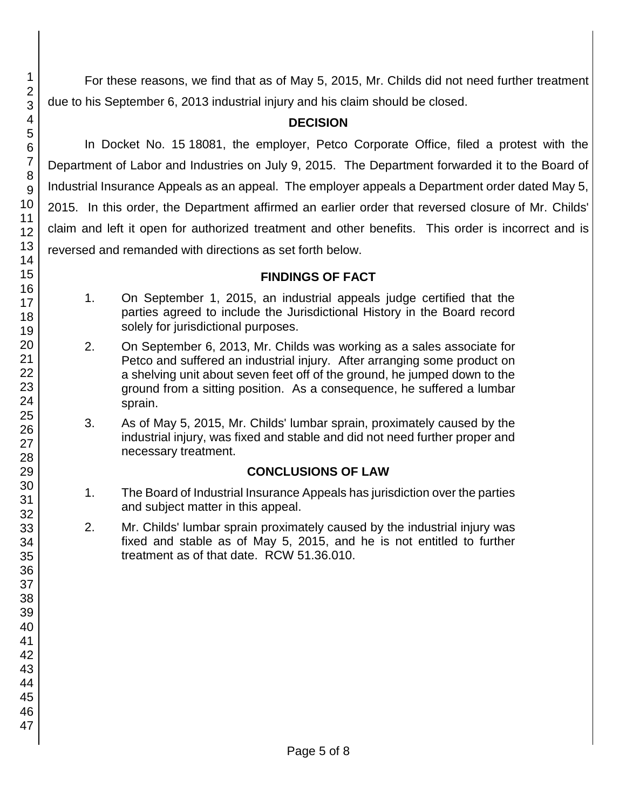For these reasons, we find that as of May 5, 2015, Mr. Childs did not need further treatment due to his September 6, 2013 industrial injury and his claim should be closed.

## **DECISION**

In Docket No. 15 18081, the employer, Petco Corporate Office, filed a protest with the Department of Labor and Industries on July 9, 2015. The Department forwarded it to the Board of Industrial Insurance Appeals as an appeal. The employer appeals a Department order dated May 5, 2015. In this order, the Department affirmed an earlier order that reversed closure of Mr. Childs' claim and left it open for authorized treatment and other benefits. This order is incorrect and is reversed and remanded with directions as set forth below.

#### **FINDINGS OF FACT**

- 1. On September 1, 2015, an industrial appeals judge certified that the parties agreed to include the Jurisdictional History in the Board record solely for jurisdictional purposes.
- 2. On September 6, 2013, Mr. Childs was working as a sales associate for Petco and suffered an industrial injury. After arranging some product on a shelving unit about seven feet off of the ground, he jumped down to the ground from a sitting position. As a consequence, he suffered a lumbar sprain.
- 3. As of May 5, 2015, Mr. Childs' lumbar sprain, proximately caused by the industrial injury, was fixed and stable and did not need further proper and necessary treatment.

# **CONCLUSIONS OF LAW**

- 1. The Board of Industrial Insurance Appeals has jurisdiction over the parties and subject matter in this appeal.
- 2. Mr. Childs' lumbar sprain proximately caused by the industrial injury was fixed and stable as of May 5, 2015, and he is not entitled to further treatment as of that date. RCW 51.36.010.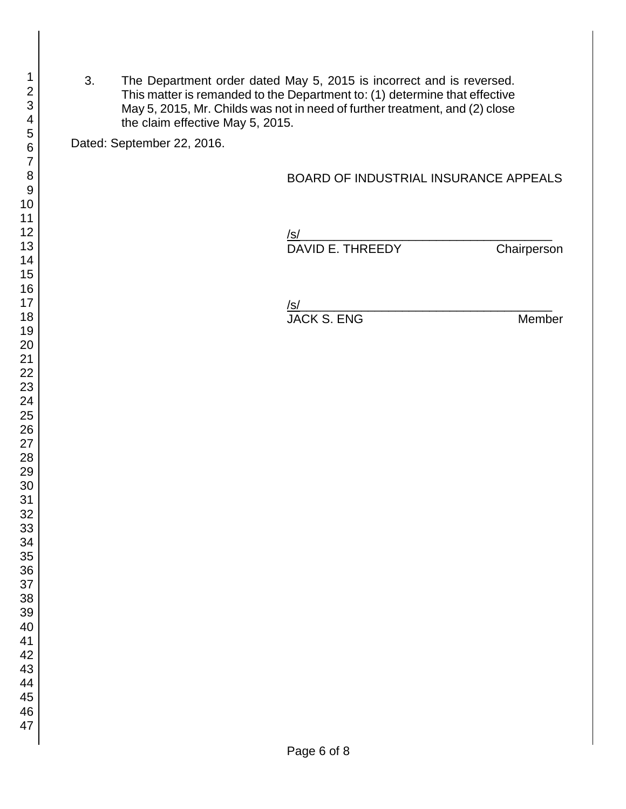3. The Department order dated May 5, 2015 is incorrect and is reversed. This matter is remanded to the Department to: (1) determine that effective May 5, 2015, Mr. Childs was not in need of further treatment, and (2) close the claim effective May 5, 2015.

Dated: September 22, 2016.

#### BOARD OF INDUSTRIAL INSURANCE APPEALS

/s/ DAVID E. THREEDY Chairperson

/s/ JACK S. ENG Member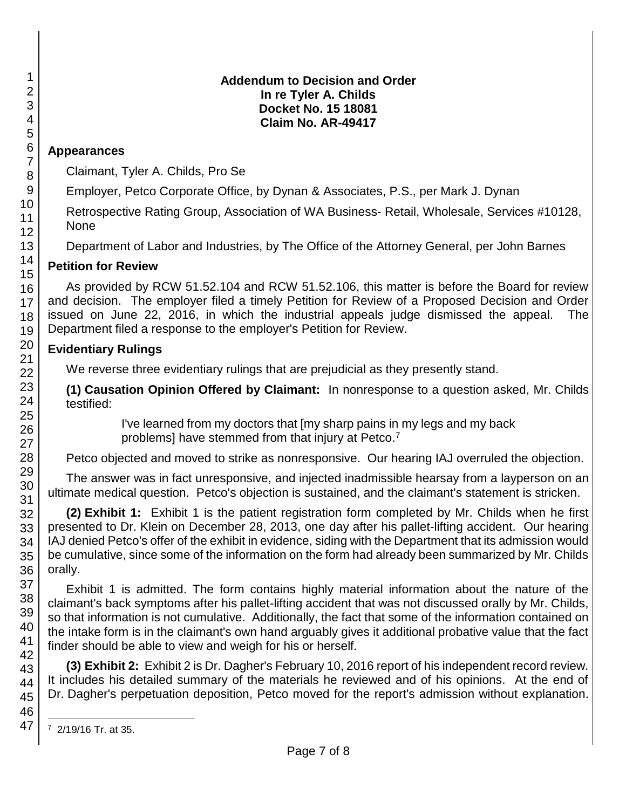#### **Addendum to Decision and Order In re Tyler A. Childs Docket No. 15 18081 Claim No. AR-49417**

## **Appearances**

Claimant, Tyler A. Childs, Pro Se

Employer, Petco Corporate Office, by Dynan & Associates, P.S., per Mark J. Dynan

Retrospective Rating Group, Association of WA Business- Retail, Wholesale, Services #10128, None

Department of Labor and Industries, by The Office of the Attorney General, per John Barnes

#### 14 15 **Petition for Review**

As provided by RCW 51.52.104 and RCW 51.52.106, this matter is before the Board for review and decision. The employer filed a timely Petition for Review of a Proposed Decision and Order issued on June 22, 2016, in which the industrial appeals judge dismissed the appeal. The Department filed a response to the employer's Petition for Review.

#### 20 21 **Evidentiary Rulings**

We reverse three evidentiary rulings that are prejudicial as they presently stand.

**(1) Causation Opinion Offered by Claimant:** In nonresponse to a question asked, Mr. Childs testified:

> I've learned from my doctors that [my sharp pains in my legs and my back problems] have stemmed from that injury at Petco.<sup>7</sup>

Petco objected and moved to strike as nonresponsive. Our hearing IAJ overruled the objection.

The answer was in fact unresponsive, and injected inadmissible hearsay from a layperson on an ultimate medical question. Petco's objection is sustained, and the claimant's statement is stricken.

**(2) Exhibit 1:** Exhibit 1 is the patient registration form completed by Mr. Childs when he first presented to Dr. Klein on December 28, 2013, one day after his pallet-lifting accident. Our hearing IAJ denied Petco's offer of the exhibit in evidence, siding with the Department that its admission would be cumulative, since some of the information on the form had already been summarized by Mr. Childs orally.

Exhibit 1 is admitted. The form contains highly material information about the nature of the claimant's back symptoms after his pallet-lifting accident that was not discussed orally by Mr. Childs, so that information is not cumulative. Additionally, the fact that some of the information contained on the intake form is in the claimant's own hand arguably gives it additional probative value that the fact finder should be able to view and weigh for his or herself.

**(3) Exhibit 2:** Exhibit 2 is Dr. Dagher's February 10, 2016 report of his independent record review. It includes his detailed summary of the materials he reviewed and of his opinions. At the end of Dr. Dagher's perpetuation deposition, Petco moved for the report's admission without explanation.